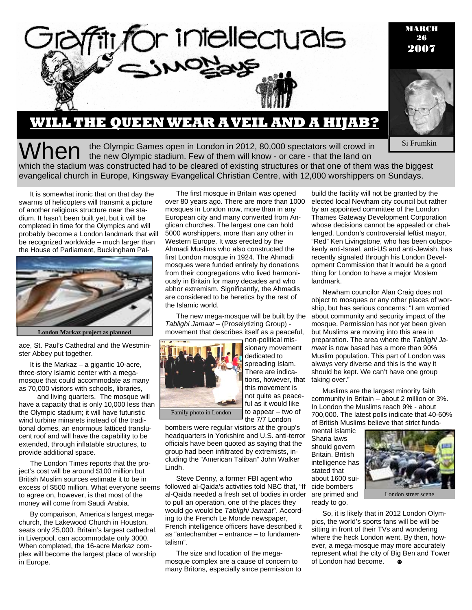

#### **WILL THE QUEEN WEAR A VEIL AND A HIJAB?**

Si Frumkin

**When** the Olympic Games open in London in 2012, 80,000 spectators will crowd in **EXI Frumkin**<br> **When** the new Olympic stadium. Few of them will know - or care - that the land on which the stadium was constructed had to be cleared of existing structures or that one of them was the biggest evangelical church in Europe, Kingsway Evangelical Christian Centre, with 12,000 worshippers on Sundays.

It is somewhat ironic that on that day the swarms of helicopters will transmit a picture of another religious structure near the stadium. It hasn't been built yet, but it will be completed in time for the Olympics and will probably become a London landmark that will be recognized worldwide – much larger than the House of Parliament, Buckingham Pal-



**London Markaz project as planned** 

ace, St. Paul's Cathedral and the Westminster Abbey put together.

It is the Markaz – a gigantic 10-acre, three-story Islamic center with a megamosque that could accommodate as many as 70,000 visitors with schools, libraries,

and living quarters. The mosque will have a capacity that is only 10,000 less than the Olympic stadium; it will have futuristic wind turbine minarets instead of the traditional domes, an enormous latticed translucent roof and will have the capability to be extended, through inflatable structures, to provide additional space.

The London Times reports that the project's cost will be around \$100 million but British Muslim sources estimate it to be in excess of \$500 million. What everyone seems to agree on, however, is that most of the money will come from Saudi Arabia.

By comparison, America's largest megachurch, the Lakewood Church in Houston, seats only 25,000. Britain's largest cathedral, in Liverpool, can accommodate only 3000. When completed, the 16-acre Merkaz complex will become the largest place of worship in Europe.

The first mosque in Britain was opened over 80 years ago. There are more than 1000 mosques in London now, more than in any European city and many converted from Anglican churches. The largest one can hold 5000 worshippers, more than any other in Western Europe. It was erected by the Ahmadi Muslims who also constructed the first London mosque in 1924. The Ahmadi mosques were funded entirely by donations from their congregations who lived harmoniously in Britain for many decades and who abhor extremism. Significantly, the Ahmadis are considered to be heretics by the rest of the Islamic world.

The new mega-mosque will be built by the *Tablighi Jamaat* – (Proselytizing Group) movement that describes itself as a peaceful,



Lindh.

non-political missionary movement dedicated to spreading Islam. There are indications, however, that taking over." this movement is not quite as peaceful as it would like to appear – two of the 7/7 London

bombers were regular visitors at the group's headquarters in Yorkshire and U.S. anti-terror officials have been quoted as saying that the group had been infiltrated by extremists, including the "American Taliban" John Walker

Steve Denny, a former FBI agent who followed al-Qaida's activities told NBC that, "If al-Qaida needed a fresh set of bodies in order to pull an operation, one of the places they would go would be *Tablighi Jamaat*". According to the French Le Monde newspaper, French intelligence officers have described it as "antechamber – entrance – to fundamentalism".

The size and location of the megamosque complex are a cause of concern to many Britons, especially since permission to

build the facility will not be granted by the elected local Newham city council but rather by an appointed committee of the London Thames Gateway Development Corporation whose decisions cannot be appealed or challenged. London's controversial leftist mayor, "Red" Ken Livingstone, who has been outspokenly anti-Israel, anti-US and anti-Jewish, has recently signaled through his London Development Commission that it would be a good thing for London to have a major Moslem landmark.

Newham councilor Alan Craig does not object to mosques or any other places of worship, but has serious concerns: "I am worried about community and security impact of the mosque. Permission has not yet been given but Muslims are moving into this area in preparation. The area where the *Tablighi Jamaat* is now based has a more than 90% Muslim population. This part of London was always very diverse and this is the way it should be kept. We can't have one group

Muslims are the largest minority faith community in Britain – about 2 million or 3%. In London the Muslims reach 9% - about 700,000. The latest polls indicate that 40-60% of British Muslims believe that strict funda-

mental Islamic Sharia laws should govern Britain. British intelligence has stated that about 1600 suicide bombers are primed and ready to go.



London street scene

So, it is likely that in 2012 London Olympics, the world's sports fans will be will be sitting in front of their TVs and wondering where the heck London went. By then, however, a mega-mosque may more accurately represent what the city of Big Ben and Tower of London had become.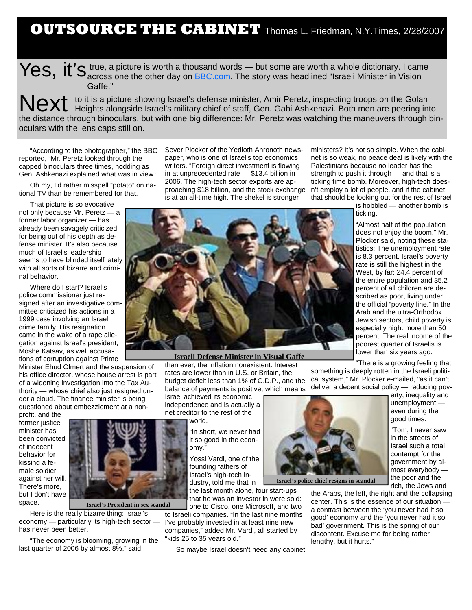### **OUTSOURCE THE CABINET** Thomas L. Friedman, N.Y.Times, 2/28/2007

 $\text{Yes}, \text{ it's}$  true, a picture is worth a thousand words — but some are worth a whole dictionary. I came  $\text{Yes}$  is the other day on **BBC.com**. The story was headlined "Israeli Minister in Vision Gaffe."

Next to it is a picture showing Israel's defense minister, Amir Peretz, inspecting troops on the Golan Heights alongside Israel's military chief of staff, Gen. Gabi Ashkenazi. Both men are peering into the distance through binoculars, but with one big difference: Mr. Peretz was watching the maneuvers through binoculars with the lens caps still on.

"According to the photographer," the BBC reported, "Mr. Peretz looked through the capped binoculars three times, nodding as Gen. Ashkenazi explained what was in view."

Oh my, I'd rather misspell "potato" on national TV than be remembered for that.

That picture is so evocative not only because Mr. Peretz — a former labor organizer — has already been savagely criticized for being out of his depth as defense minister. It's also because much of Israel's leadership seems to have blinded itself lately with all sorts of bizarre and criminal behavior.

Where do I start? Israel's police commissioner just resigned after an investigative committee criticized his actions in a 1999 case involving an Israeli crime family. His resignation came in the wake of a rape allegation against Israel's president, Moshe Katsav, as well accusations of corruption against Prime

Minister Ehud Olmert and the suspension of his office director, whose house arrest is part of a widening investigation into the Tax Authority — whose chief also just resigned under a cloud. The finance minister is being questioned about embezzlement at a non-

profit, and the former justice minister has been convicted of indecent behavior for kissing a female soldier against her will. There's more, but I don't have space.



**Israel's President in sex scandal** 

Here is the really bizarre thing: Israel's economy — particularly its high-tech sector has never been better.

"The economy is blooming, growing in the last quarter of 2006 by almost 8%," said

Sever Plocker of the Yedioth Ahronoth newspaper, who is one of Israel's top economics writers. "Foreign direct investment is flowing in at unprecedented rate — \$13.4 billion in 2006. The high-tech sector exports are approaching \$18 billion, and the stock exchange is at an all-time high. The shekel is stronger

ministers? It's not so simple. When the cabinet is so weak, no peace deal is likely with the Palestinians because no leader has the strength to push it through — and that is a ticking time bomb. Moreover, high-tech doesn't employ a lot of people, and if the cabinet that should be looking out for the rest of Israel

> is hobbled — another bomb is ticking.

"Almost half of the population does not enjoy the boom," Mr. Plocker said, noting these statistics: The unemployment rate is 8.3 percent. Israel's poverty rate is still the highest in the West, by far: 24.4 percent of the entire population and 35.2 percent of all children are described as poor, living under the official "poverty line." In the Arab and the ultra-Orthodox Jewish sectors, child poverty is especially high: more than 50 percent. The real income of the poorest quarter of Israelis is lower than six years ago.

"There is a growing feeling that

something is deeply rotten in the Israeli political system," Mr. Plocker e-mailed, "as it can't deliver a decent social policy — reducing pov-

balance of payments is positive, which means Israel achieved its economic independence and is actually a net creditor to the rest of the world.

than ever, the inflation nonexistent. Interest rates are lower than in U.S. or Britain, the budget deficit less than 1% of G.D.P., and the

**Israeli Defense Minister in Visual Gaffe** 

"In short, we never had

it so good in the economy." Yossi Vardi, one of the

founding fathers of Israel's high-tech industry, told me that in

the last month alone, four start-ups that he was an investor in were sold:

one to Cisco, one Microsoft, and two to Israeli companies. "In the last nine months I've probably invested in at least nine new companies," added Mr. Vardi, all started by "kids 25 to 35 years old."

So maybe Israel doesn't need any cabinet



**Israel's police chief resigns in scandal** 

the Arabs, the left, the right and the collapsing center. This is the essence of our situation a contrast between the 'you never had it so good' economy and the 'you never had it so bad' government. This is the spring of our discontent. Excuse me for being rather lengthy, but it hurts."

erty, inequality and unemployment even during the good times.

"Tom, I never saw in the streets of Israel such a total contempt for the government by almost everybody the poor and the rich, the Jews and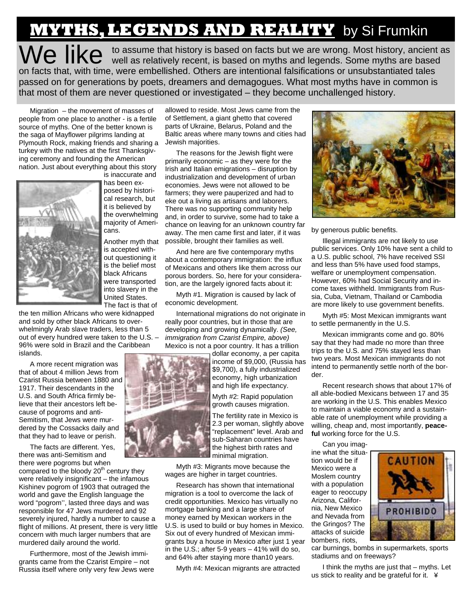# **MYTHS, LEGENDS AND REALITY** by Si Frumkin

We like to assume that history is based on facts but we are wrong. Most history, ancient as well as relatively recent, is based on myths and legends. Some myths are based on facts that, with time, were embellished. Others are intentional falsifications or unsubstantiated tales passed on for generations by poets, dreamers and demagogues. What most myths have in common is that most of them are never questioned or investigated – they become unchallenged history.

Migration – the movement of masses of people from one place to another - is a fertile source of myths. One of the better known is the saga of Mayflower pilgrims landing at Plymouth Rock, making friends and sharing a turkey with the natives at the first Thanksgiving ceremony and founding the American nation. Just about everything about this story



is inaccurate and has been exposed by historical research, but it is believed by the overwhelming majority of Americans.

Another myth that is accepted without questioning it is the belief most black Africans were transported into slavery in the United States. The fact is that of

the ten million Africans who were kidnapped and sold by other black Africans to overwhelmingly Arab slave traders, less than 5 out of every hundred were taken to the U.S. – 96% were sold in Brazil and the Caribbean islands.

A more recent migration was that of about 4 million Jews from Czarist Russia between 1880 and 1917. Their descendants in the U.S. and South Africa firmly believe that their ancestors left because of pogroms and anti-Semitism, that Jews were murdered by the Cossacks daily and that they had to leave or perish.

The facts are different. Yes, there was anti-Semitism and there were pogroms but when

compared to the bloody  $20<sup>th</sup>$  century they were relatively insignificant – the infamous Kishinev pogrom of 1903 that outraged the world and gave the English language the word "pogrom'', lasted three days and was responsible for 47 Jews murdered and 92 severely injured, hardly a number to cause a flight of millions. At present, there is very little concern with much larger numbers that are murdered daily around the world.

Furthermore, most of the Jewish immigrants came from the Czarist Empire – not Russia itself where only very few Jews were allowed to reside. Most Jews came from the of Settlement, a giant ghetto that covered parts of Ukraine, Belarus, Poland and the Baltic areas where many towns and cities had Jewish majorities.

The reasons for the Jewish flight were primarily economic – as they were for the Irish and Italian emigrations – disruption by industrialization and development of urban economies. Jews were not allowed to be farmers; they were pauperized and had to eke out a living as artisans and laborers. There was no supporting community help and, in order to survive, some had to take a chance on leaving for an unknown country far away. The men came first and later, if it was possible, brought their families as well.

And here are five contemporary myths about a contemporary immigration: the influx of Mexicans and others like them across our porous borders. So, here for your consideration, are the largely ignored facts about it:

Myth #1. Migration is caused by lack of economic development.

International migrations do not originate in really poor countries, but in those that are developing and growing dynamically. *(See, immigration from Czarist Empire, above)* Mexico is not a poor country. It has a trillion

> dollar economy, a per capita income of \$9,000, (Russia has \$9,700), a fully industrialized economy, high urbanization and high life expectancy.

Myth #2: Rapid population growth causes migration.

The fertility rate in Mexico is 2.3 per woman, slightly above "replacement" level. Arab and sub-Saharan countries have the highest birth rates and minimal migration.

Myth #3: Migrants move because the wages are higher in target countries.

Research has shown that international migration is a tool to overcome the lack of credit opportunities. Mexico has virtually no mortgage banking and a large share of money earned by Mexican workers in the U.S. is used to build or buy homes in Mexico. Six out of every hundred of Mexican immigrants buy a house in Mexico after just 1 year in the U.S.; after 5-9 years – 41% will do so, and 64% after staying more than10 years.

Myth #4: Mexican migrants are attracted



by generous public benefits.

Illegal immigrants are not likely to use public services. Only 10% have sent a child to a U.S. public school, 7% have received SSI and less than 5% have used food stamps, welfare or unemployment compensation. However, 60% had Social Security and income taxes withheld. Immigrants from Russia, Cuba, Vietnam, Thailand or Cambodia are more likely to use government benefits.

Myth #5: Most Mexican immigrants want to settle permanently in the U.S.

Mexican immigrants come and go. 80% say that they had made no more than three trips to the U.S. and 75% stayed less than two years. Most Mexican immigrants do not intend to permanently settle north of the border.

Recent research shows that about 17% of all able-bodied Mexicans between 17 and 35 are working in the U.S. This enables Mexico to maintain a viable economy and a sustainable rate of unemployment while providing a willing, cheap and, most importantly, **peaceful** working force for the U.S.

Can you imagine what the situation would be if Mexico were a Moslem country with a population eager to reoccupy Arizona, California, New Mexico and Nevada from the Gringos? The attacks of suicide bombers, riots,



car burnings, bombs in supermarkets, sports stadiums and on freeways?

I think the myths are just that – myths. Let us stick to reality and be grateful for it. ¥